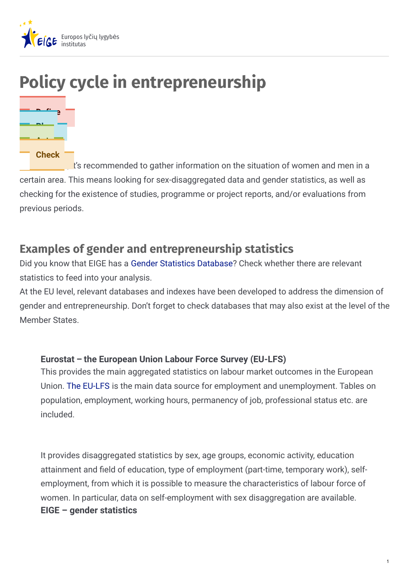

# **Policy cycle in entrepreneurship**



 $\mathbf{I}'$ 's recommended to gather information on the situation of women and men in a certain area. This means looking for sex-disaggregated data and gender statistics, as well as checking for the existence of studies, programme or project reports, and/or evaluations from previous periods.

# **Examples of gender and entrepreneurship statistics**

Did you know that EIGE has a Gender Statistics [Database](http://eige.europa.eu/gender-statistics/dgs)? Check whether there are relevant statistics to feed into your analysis.

At the EU level, relevant databases and indexes have been developed to address the dimension of gender and entrepreneurship. Don't forget to check databases that may also exist at the level of the Member States.

#### **Eurostat – the European Union Labour Force Survey (EU-LFS)**

This provides the main aggregated statistics on labour market outcomes in the European Union. The [EU-LFS](http://ec.europa.eu/eurostat/web/lfs/data/database) is the main data source for employment and unemployment. Tables on population, employment, working hours, permanency of job, professional status etc. are included.

It provides disaggregated statistics by sex, age groups, economic activity, education attainment and field of education, type of employment (part-time, temporary work), selfemployment, from which it is possible to measure the characteristics of labour force of women. In particular, data on self-employment with sex disaggregation are available. **EIGE – gender statistics**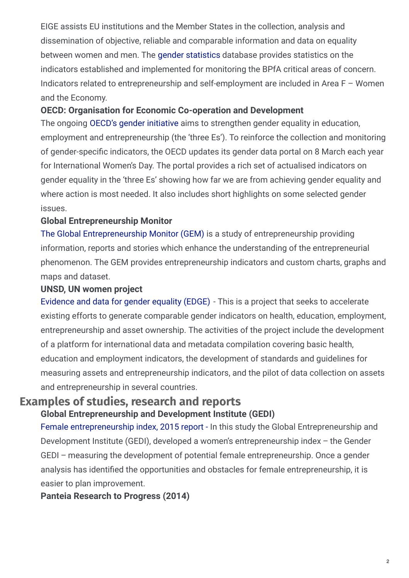EIGE assists EU institutions and the Member States in the collection, analysis and dissemination of objective, reliable and comparable information and data on equality between women and men. The gender [statistics](http://eige.europa.eu/gender-statistics/women-and-men-in-the-eu-facts-and-figures) database provides statistics on the indicators established and implemented for monitoring the BPfA critical areas of concern. Indicators related to entrepreneurship and self-employment are included in Area F – Women and the Economy.

#### **OECD: Organisation for Economic Co-operation and Development**

The ongoing OECD's gender [initiative](http://www.oecd.org/gender/data/entrepreneurship.htm) aims to strengthen gender equality in education, employment and entrepreneurship (the 'three Es'). To reinforce the collection and monitoring of gender-specific indicators, the OECD updates its gender data portal on 8 March each year for International Women's Day. The portal provides a rich set of actualised indicators on gender equality in the 'three Es' showing how far we are from achieving gender equality and where action is most needed. It also includes short highlights on some selected gender issues.

#### **Global Entrepreneurship Monitor**

The Global [Entrepreneurship](http://www.gemconsortium.org/data) Monitor (GEM) is a study of entrepreneurship providing information, reports and stories which enhance the understanding of the entrepreneurial phenomenon. The GEM provides entrepreneurship indicators and custom charts, graphs and maps and dataset.

#### **UNSD, UN women project**

[Evidence](https://unstats.un.org/edge) and data for gender equality (EDGE) - This is a project that seeks to accelerate existing efforts to generate comparable gender indicators on health, education, employment, entrepreneurship and asset ownership. The activities of the project include the development of a platform for international data and metadata compilation covering basic health, education and employment indicators, the development of standards and guidelines for measuring assets and entrepreneurship indicators, and the pilot of data collection on assets and entrepreneurship in several countries.

### **Examples of studies, research and reports Global Entrepreneurship and Development Institute (GEDI)**

Female [entrepreneurship](http://thegedi.org/female-entrepreneurship-index-2015-report) index, 2015 report - In this study the Global Entrepreneurship and Development Institute (GEDI), developed a women's entrepreneurship index – the Gender GEDI – measuring the development of potential female entrepreneurship. Once a gender analysis has identified the opportunities and obstacles for female entrepreneurship, it is easier to plan improvement.

#### **Panteia Research to Progress (2014)**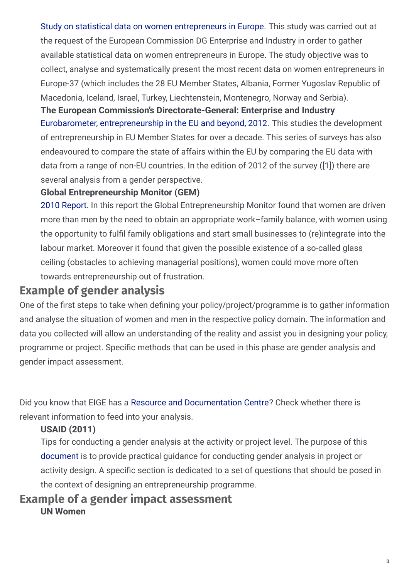Study on statistical data on women [entrepreneurs](http://ec.europa.eu/growth/tools-databases/newsroom/cf/itemdetail.cfm?item_id=7992&lang=en) in Europe. This study was carried out at the request of the European Commission DG Enterprise and Industry in order to gather available statistical data on women entrepreneurs in Europe. The study objective was to collect, analyse and systematically present the most recent data on women entrepreneurs in Europe-37 (which includes the 28 EU Member States, Albania, Former Yugoslav Republic of Macedonia, Iceland, Israel, Turkey, Liechtenstein, Montenegro, Norway and Serbia).

Eurobarometer, [entrepreneurship](http://ec.europa.eu/public_opinion/flash/fl_354_en.pdf) in the EU and beyond, 2012. This studies the development of entrepreneurship in EU Member States for over a decade. This series of surveys has also endeavoured to compare the state of affairs within the EU by comparing the EU data with data from a range of non-EU countries. In the edition of 2012 of the survey ([1]) there are several analysis from a gender perspective. **The European Commission's Directorate-General: Enterprise and Industry**

## **Global Entrepreneurship Monitor (GEM)**

2010 [Report](http://www.gemconsortium.org/report). In this report the Global Entrepreneurship Monitor found that women are driven more than men by the need to obtain an appropriate work–family balance, with women using the opportunity to fulfil family obligations and start small businesses to (re)integrate into the labour market. Moreover it found that given the possible existence of a so-called glass ceiling (obstacles to achieving managerial positions), women could move more often towards entrepreneurship out of frustration.

# **Example of gender analysis**

One of the first steps to take when defining your policy/project/programme is to gather information and analyse the situation of women and men in the respective policy domain. The information and data you collected will allow an understanding of the reality and assist you in designing your policy, programme or project. Specific methods that can be used in this phase are gender analysis and gender impact assessment.

Did you know that EIGE has a Resource and [Documentation](http://eige.europa.eu/rdc) Centre? Check whether there is relevant information to feed into your analysis.

## **USAID (2011)**

Tips for conducting a gender analysis at the activity or project level. The purpose of this [document](https://www.usaid.gov/sites/default/files/documents/1865/201sae.pdf) is to provide practical guidance for conducting gender analysis in project or activity design. A specific section is dedicated to a set of questions that should be posed in the context of designing an entrepreneurship programme.

# **Example of a gender impact assessment UN Women**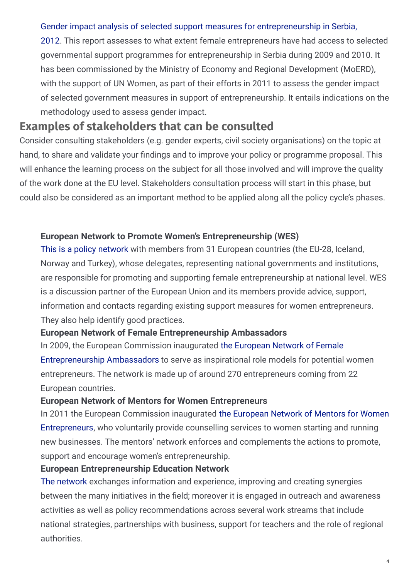#### Gender impact analysis of selected support measures for [entrepreneurship](http://www.academia.edu/4160895/Gender_Impact_Analysis_of_Selected_Support_Measures_for_Entrepreneurship_in_Serbia) in Serbia,

2012. This report assesses to what extent female entrepreneurs have had access to selected governmental support programmes for entrepreneurship in Serbia during 2009 and 2010. It has been commissioned by the Ministry of Economy and Regional Development (MoERD), with the support of UN Women, as part of their efforts in 2011 to assess the gender impact of selected government measures in support of entrepreneurship. It entails indications on the methodology used to assess gender impact.

# **Examples of stakeholders that can be consulted**

Consider consulting stakeholders (e.g. gender experts, civil society organisations) on the topic at hand, to share and validate your findings and to improve your policy or programme proposal. This will enhance the learning process on the subject for all those involved and will improve the quality of the work done at the EU level. Stakeholders consultation process will start in this phase, but could also be considered as an important method to be applied along all the policy cycle's phases.

#### **European Network to Promote Women's Entrepreneurship (WES)**

This is a policy [network](http://ec.europa.eu/growth/smes/promoting-entrepreneurship/we-work-for/women/support-networks/index_en.htm) with members from 31 European countries (the EU-28, Iceland, Norway and Turkey), whose delegates, representing national governments and institutions, are responsible for promoting and supporting female entrepreneurship at national level. WES is a discussion partner of the European Union and its members provide advice, support, information and contacts regarding existing support measures for women entrepreneurs. They also help identify good practices.

#### **European Network of Female Entrepreneurship Ambassadors**

In 2009, the European Commission inaugurated the European Network of Female [Entrepreneurship](http://ec.europa.eu/growth/smes/promoting-entrepreneurship/we-work-for/women/support-networks/index_en.htm) Ambassadors to serve as inspirational role models for potential women entrepreneurs. The network is made up of around 270 entrepreneurs coming from 22 European countries.

#### **European Network of Mentors for Women Entrepreneurs**

In 2011 the European Commission inaugurated the European Network of Mentors for Women [Entrepreneurs,](http://ec.europa.eu/growth/smes/promoting-entrepreneurship/we-work-for/women/support-networks/index_en.htm) who voluntarily provide counselling services to women starting and running new businesses. The mentors' network enforces and complements the actions to promote, support and encourage women's entrepreneurship.

#### **European Entrepreneurship Education Network**

The [network](http://ee-hub.eu/) exchanges information and experience, improving and creating synergies between the many initiatives in the field; moreover it is engaged in outreach and awareness activities as well as policy recommendations across several work streams that include national strategies, partnerships with business, support for teachers and the role of regional authorities.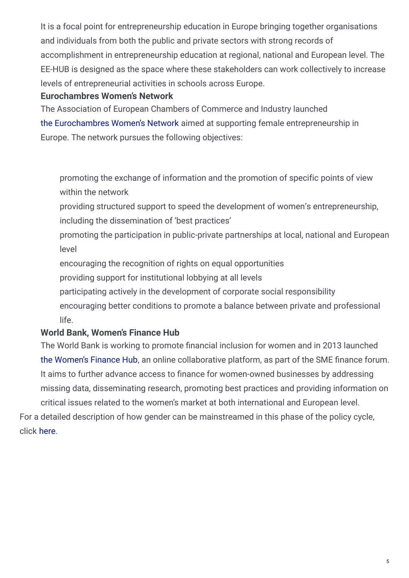It is a focal point for entrepreneurship education in Europe bringing together organisations and individuals from both the public and private sectors with strong records of accomplishment in entrepreneurship education at regional, national and European level. The EE-HUB is designed as the space where these stakeholders can work collectively to increase levels of entrepreneurial activities in schools across Europe.

#### **Eurochambres Women's Network**

The Association of European Chambers of Commerce and Industry launched the [Eurochambres](http://cordis.europa.eu/news/rcn/20891_en.html) Women's Network aimed at supporting female entrepreneurship in Europe. The network pursues the following objectives:

promoting the exchange of information and the promotion of specific points of view within the network

- providing structured support to speed the development of women's entrepreneurship, including the dissemination of 'best practices'
- promoting the participation in public-private partnerships at local, national and European level
- encouraging the recognition of rights on equal opportunities
- providing support for institutional lobbying at all levels
- participating actively in the development of corporate social responsibility
- encouraging better conditions to promote a balance between private and professional life.

## **World Bank, Women's Finance Hub**

The World Bank is working to promote financial inclusion for women and in 2013 launched the [Women's](https://www.worldbank.org/en/results/2013/04/01/banking-on-women-extending-womens-access-to-financial-services) Finance Hub, an online collaborative platform, as part of the SME finance forum. It aims to further advance access to finance for women-owned businesses by addressing missing data, disseminating research, promoting best practices and providing information on critical issues related to the women's market at both international and European level. For a detailed description of how gender can be mainstreamed in this phase of the policy cycle,

click [here](http://eige.europa.eu/gender-mainstreaming/what-is-gender-mainstreaming).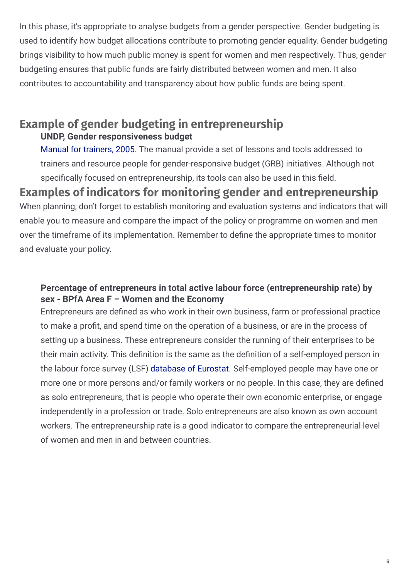In this phase, it's appropriate to analyse budgets from a gender perspective. Gender budgeting is used to identify how budget allocations contribute to promoting gender equality. Gender budgeting brings visibility to how much public money is spent for women and men respectively. Thus, gender budgeting ensures that public funds are fairly distributed between women and men. It also contributes to accountability and transparency about how public funds are being spent.

# **Example of gender budgeting in entrepreneurship UNDP, Gender responsiveness budget**

Manual for [trainers,](https://www.ndi.org/sites/default/files/Gender Responsive Budgeting Trainers Manual.pdf) 2005. The manual provide a set of lessons and tools addressed to trainers and resource people for gender-responsive budget (GRB) initiatives. Although not specifically focused on entrepreneurship, its tools can also be used in this field.

# **Examples of indicators for monitoring gender and entrepreneurship**

When planning, don't forget to establish monitoring and evaluation systems and indicators that will enable you to measure and compare the impact of the policy or programme on women and men over the timeframe of its implementation. Remember to define the appropriate times to monitor and evaluate your policy.

#### **Percentage of entrepreneurs in total active labour force (entrepreneurship rate) by sex - BPfA Area F – Women and the Economy**

Entrepreneurs are defined as who work in their own business, farm or professional practice to make a profit, and spend time on the operation of a business, or are in the process of setting up a business. These entrepreneurs consider the running of their enterprises to be their main activity. This definition is the same as the definition of a self-employed person in the labour force survey (LSF) [database](http://ec.europa.eu/eurostat/data/database?node_code=lfsa_egaps) of Eurostat. Self-employed people may have one or more one or more persons and/or family workers or no people. In this case, they are defined as solo entrepreneurs, that is people who operate their own economic enterprise, or engage independently in a profession or trade. Solo entrepreneurs are also known as own account workers. The entrepreneurship rate is a good indicator to compare the entrepreneurial level of women and men in and between countries.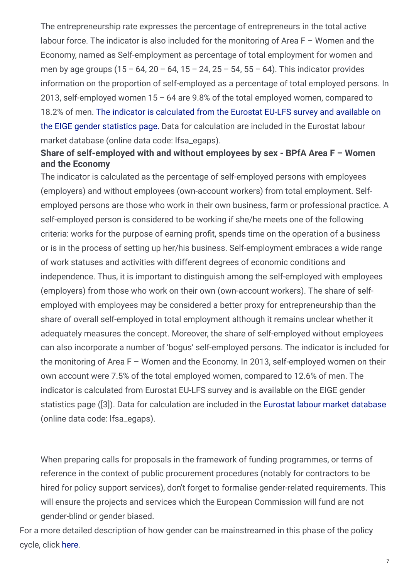The entrepreneurship rate expresses the percentage of entrepreneurs in the total active labour force. The indicator is also included for the monitoring of Area  $F - W$ omen and the Economy, named as Self-employment as percentage of total employment for women and men by age groups  $(15 - 64, 20 - 64, 15 - 24, 25 - 54, 55 - 64)$ . This indicator provides information on the proportion of self-employed as a percentage of total employed persons. In 2013, self-employed women 15 – 64 are 9.8% of the total employed women, compared to 18.2% of men. The indicator is [calculated](http://eige.europa.eu/gender-statistics/women-and-men-in-the-eu-facts-and-figures/area/83/indicator/ 268/ report/695) from the Eurostat EU-LFS survey and available on the EIGE gender statistics page. Data for calculation are included in the Eurostat labour market database (online data code: lfsa\_egaps).

## **Share of self-employed with and without employees by sex - BPfA Area F – Women and the Economy**

The indicator is calculated as the percentage of self-employed persons with employees (employers) and without employees (own-account workers) from total employment. Selfemployed persons are those who work in their own business, farm or professional practice. A self-employed person is considered to be working if she/he meets one of the following criteria: works for the purpose of earning profit, spends time on the operation of a business or is in the process of setting up her/his business. Self-employment embraces a wide range of work statuses and activities with different degrees of economic conditions and independence. Thus, it is important to distinguish among the self-employed with employees (employers) from those who work on their own (own-account workers). The share of selfemployed with employees may be considered a better proxy for entrepreneurship than the share of overall self-employed in total employment although it remains unclear whether it adequately measures the concept. Moreover, the share of self-employed without employees can also incorporate a number of 'bogus' self-employed persons. The indicator is included for the monitoring of Area F – Women and the Economy. In 2013, self-employed women on their own account were 7.5% of the total employed women, compared to 12.6% of men. The indicator is calculated from Eurostat EU-LFS survey and is available on the EIGE gender statistics page ([3]). Data for calculation are included in the Eurostat labour market [database](http://ec.europa.eu/eurostat/data/database?node_code=lfsa_egaps) (online data code: lfsa\_egaps).

When preparing calls for proposals in the framework of funding programmes, or terms of reference in the context of public procurement procedures (notably for contractors to be hired for policy support services), don't forget to formalise gender-related requirements. This will ensure the projects and services which the European Commission will fund are not gender-blind or gender biased.

For a more detailed description of how gender can be mainstreamed in this phase of the policy cycle, click [here](http://eige.europa.eu/gender-mainstreaming).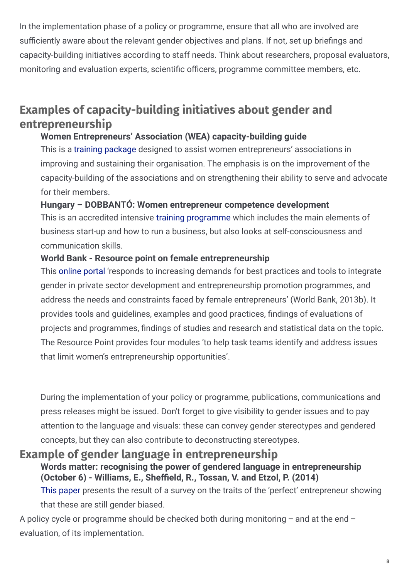In the implementation phase of a policy or programme, ensure that all who are involved are sufficiently aware about the relevant gender objectives and plans. If not, set up briefings and capacity-building initiatives according to staff needs. Think about researchers, proposal evaluators, monitoring and evaluation experts, scientific officers, programme committee members, etc.

# **Examples of capacity-building initiatives about gender and entrepreneurship**

### **Women Entrepreneurs' Association (WEA) capacity-building guide**

This is a training [package](http://www.ilo.org/global/docs/WCMS_248603/lang--en/index.htm) designed to assist women entrepreneurs' associations in improving and sustaining their organisation. The emphasis is on the improvement of the capacity-building of the associations and on strengthening their ability to serve and advocate for their members.

#### **Hungary – DOBBANTÓ: Women entrepreneur competence development**

This is an accredited intensive training [programme](http://eige.europa.eu/gender-mainstreaming/good-practices/hungary/dobbanto-women-entrepreneurs-competence-development) which includes the main elements of business start-up and how to run a business, but also looks at self-consciousness and communication skills.

### **World Bank - Resource point on female entrepreneurship**

This [online](http://www.worldbank.org/) portal 'responds to increasing demands for best practices and tools to integrate gender in private sector development and entrepreneurship promotion programmes, and address the needs and constraints faced by female entrepreneurs' (World Bank, 2013b). It provides tools and quidelines, examples and good practices, findings of evaluations of projects and programmes, findings of studies and research and statistical data on the topic. The Resource Point provides four modules 'to help task teams identify and address issues that limit women's entrepreneurship opportunities'.

During the implementation of your policy or programme, publications, communications and press releases might be issued. Don't forget to give visibility to gender issues and to pay attention to the language and visuals: these can convey gender stereotypes and gendered concepts, but they can also contribute to deconstructing stereotypes.

# **Example of gender language in entrepreneurship**

### **Words matter: recognising the power of gendered language in entrepreneurship (October 6) - Williams, E., She<eld, R., Tossan, V. and Etzol, P. (2014)**

This [paper](http://ssrn.com/abstract=2506242.) presents the result of a survey on the traits of the 'perfect' entrepreneur showing that these are still gender biased.

A policy cycle or programme should be checked both during monitoring – and at the end – evaluation, of its implementation.